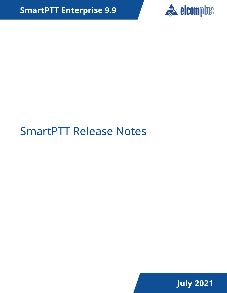

# SmartPTT Release Notes

July 2021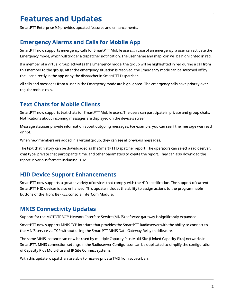## Features and Updates

SmartPTT Enterprise 9.9 provides updated features and enhancements.

### Emergency Alarms and Calls for Mobile App

SmartPTT now supports emergency calls for SmartPTT Mobile users. In case of an emergency, a user can activate the Emergency mode, which will trigger a dispatcher notification. The user name and map icon will be highlighted in red.

If a member of a virtual group activates the Emergency mode, the group will be highlighted in red during a call from this member to the group. After the emergency situation is resolved, the Emergency mode can be switched off by the user directly in the app or by the dispatcher in SmartPTT Dispatcher.

All calls and messages from <sup>a</sup> user in the Emergency mode are highlighted. The emergency calls have priority over regular mobile calls.

## Text Chats for Mobile Clients

SmartPTT now supports text chats for SmartPTT Mobile users. The users can participate in private and group chats. Notifications about incoming messages are displayed on the device's screen.

Message statuses provide information about outgoing messages. For example, you can see if the message was read or not.

When new members are added in a virtual group, they can see all previous messages.

The text chat history can be downloaded as the SmartPTT Dispatcher report. The operators can select a radioserver, chat type, private chat participants, time, and other parameters to create the report. They can also download the report in various formats including HTML.

## HID Device Support Enhancements

SmartPTT now supports a greater variety of devices that comply with the HID specification. The support of current SmartPTT HID devices is also enhanced. This update includes the ability to assign actions to the programmable buttons of the Tipro BeFREE console InterCom Module.

## MNIS Connectivity Updates

Support for the MOTOTRBO™ Network Interface Service (MNIS) software gateway is significantly expanded.

SmartPTT now supports MNIS TCP interface that provides the SmartPTT Radioserver with the ability to connect to the MNIS service via TCP without using the SmartPTT MNIS Data Gateway Relay middleware.

The same MNIS instance can now be used by multiple Capacity Plus Multi-Site (Linked Capacity Plus) networks in SmartPTT. MNIS connection settings in the Radioserver Configurator can be duplicated to simplify the configuration of Capacity Plus Multi-Site and IP Site Connect systems.

With this update, dispatchers are able to receive private TMS from subscribers.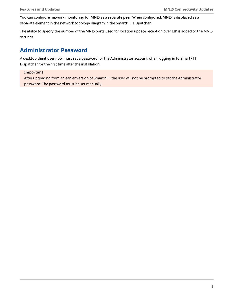You can configure network monitoring for MNIS as a separate peer. When configured, MNIS is displayed as a separate element in the network topology diagram in the SmartPTT Dispatcher.

The ability to specify the number of the MNIS ports used for location update reception over LIP is added to the MNIS settings.

### Administrator Password

A desktop client user now must set a password for the Administrator account when logging in to SmartPTT Dispatcher for the first time after the installation.

#### Important

After upgrading from an earlier version of SmartPTT, the user will not be prompted to set the Administrator password. The password must be set manually.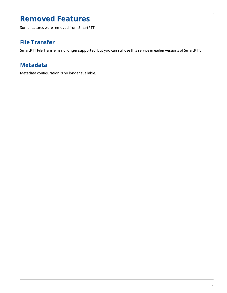## Removed Features

Some features were removed from SmartPTT.

## File Transfer

SmartPTT File Transfer is no longer supported, but you can still use this service in earlier versions of SmartPTT.

## Metadata

Metadata configuration is no longer available.